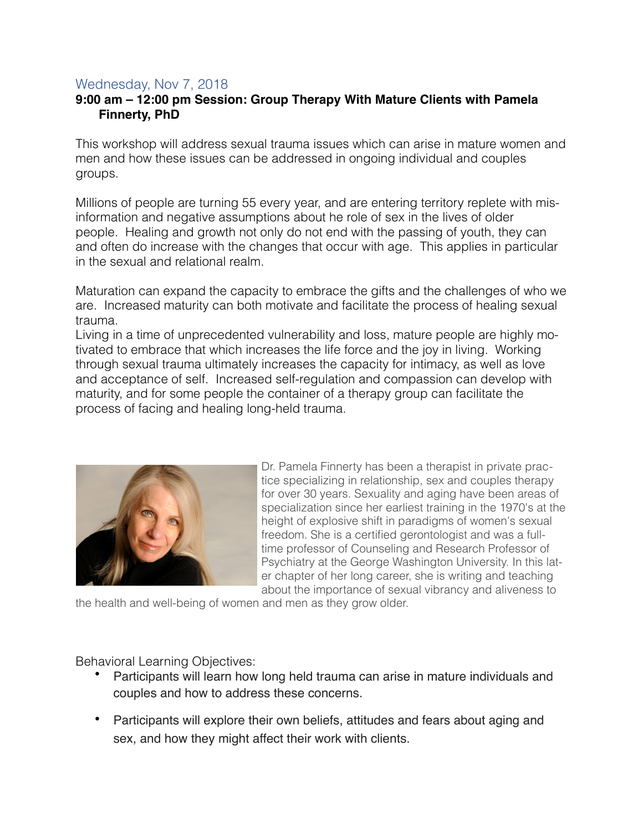## Wednesday, Nov 7, 2018

## **9:00 am – 12:00 pm Session: Group Therapy With Mature Clients with Pamela Finnerty, PhD**

This workshop will address sexual trauma issues which can arise in mature women and men and how these issues can be addressed in ongoing individual and couples groups.

Millions of people are turning 55 every year, and are entering territory replete with misinformation and negative assumptions about he role of sex in the lives of older people. Healing and growth not only do not end with the passing of youth, they can and often do increase with the changes that occur with age. This applies in particular in the sexual and relational realm.

Maturation can expand the capacity to embrace the gifts and the challenges of who we are. Increased maturity can both motivate and facilitate the process of healing sexual trauma.

Living in a time of unprecedented vulnerability and loss, mature people are highly motivated to embrace that which increases the life force and the joy in living. Working through sexual trauma ultimately increases the capacity for intimacy, as well as love and acceptance of self. Increased self-regulation and compassion can develop with maturity, and for some people the container of a therapy group can facilitate the process of facing and healing long-held trauma.



Dr. Pamela Finnerty has been a therapist in private practice specializing in relationship, sex and couples therapy for over 30 years. Sexuality and aging have been areas of specialization since her earliest training in the 1970's at the height of explosive shift in paradigms of women's sexual freedom. She is a certified gerontologist and was a fulltime professor of Counseling and Research Professor of Psychiatry at the George Washington University. In this later chapter of her long career, she is writing and teaching about the importance of sexual vibrancy and aliveness to

the health and well-being of women and men as they grow older.

Behavioral Learning Objectives:

- Participants will learn how long held trauma can arise in mature individuals and couples and how to address these concerns.
- Participants will explore their own beliefs, attitudes and fears about aging and sex, and how they might affect their work with clients.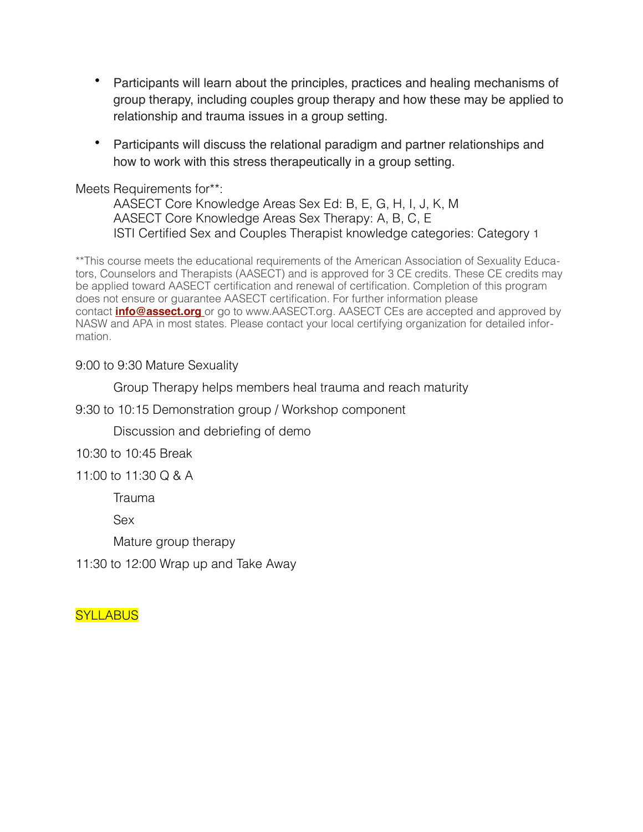- Participants will learn about the principles, practices and healing mechanisms of group therapy, including couples group therapy and how these may be applied to relationship and trauma issues in a group setting.
- Participants will discuss the relational paradigm and partner relationships and how to work with this stress therapeutically in a group setting.

Meets Requirements for\*\*:

AASECT Core Knowledge Areas Sex Ed: B, E, G, H, I, J, K, M AASECT Core Knowledge Areas Sex Therapy: A, B, C, E ISTI Certified Sex and Couples Therapist knowledge categories: Category 1

\*\*This course meets the educational requirements of the American Association of Sexuality Educators, Counselors and Therapists (AASECT) and is approved for 3 CE credits. These CE credits may be applied toward AASECT certification and renewal of certification. Completion of this program does not ensure or guarantee AASECT certification. For further information please contact **[info@assect.org](mailto:info@assect.org)** or go to www.AASECT.org. AASECT CEs are accepted and approved by NASW and APA in most states. Please contact your local certifying organization for detailed information.

9:00 to 9:30 Mature Sexuality

Group Therapy helps members heal trauma and reach maturity

9:30 to 10:15 Demonstration group / Workshop component

Discussion and debriefing of demo

10:30 to 10:45 Break

11:00 to 11:30 Q & A

Trauma

Sex

Mature group therapy

11:30 to 12:00 Wrap up and Take Away

**SYLLABUS**